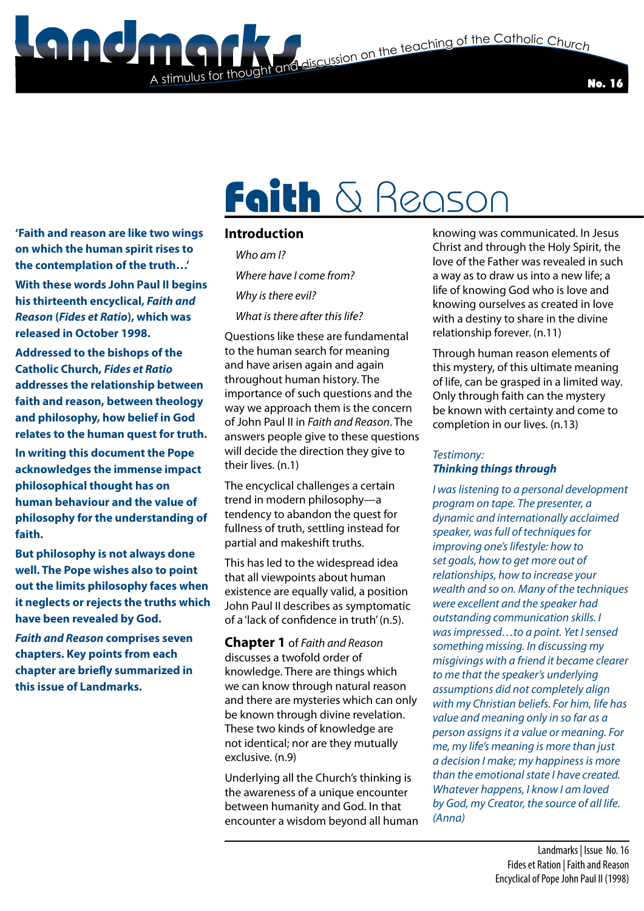**State and discussion on the teaching of the Catholic Church** 

No. 16

# Faith & Reason

**'Faith and reason are like two wings on which the human spirit rises to the contemplation of the truth…'**

**With these words John Paul II begins his thirteenth encyclical,** *Faith and Reason* **(***Fides et Ratio***), which was released in October 1998.**

**Addressed to the bishops of the Catholic Church,** *Fides et Ratio*  **addresses the relationship between faith and reason, between theology and philosophy, how belief in God relates to the human quest for truth. In writing this document the Pope acknowledges the immense impact philosophical thought has on human behaviour and the value of philosophy for the understanding of faith.**

**But philosophy is not always done well. The Pope wishes also to point out the limits philosophy faces when it neglects or rejects the truths which have been revealed by God.**

*Faith and Reason* **comprises seven chapters. Key points from each chapter are briefly summarized in this issue of Landmarks.**

### **Introduction**

A stimulus for thoug

 *Who am I? Where have I come from? Why is there evil?* 

 *What is there after this life?*

Questions like these are fundamental to the human search for meaning and have arisen again and again throughout human history. The importance of such questions and the way we approach them is the concern of John Paul II in *Faith and Reason*. The answers people give to these questions will decide the direction they give to their lives. (n.1)

The encyclical challenges a certain trend in modern philosophy—a tendency to abandon the quest for fullness of truth, settling instead for partial and makeshift truths.

This has led to the widespread idea that all viewpoints about human existence are equally valid, a position John Paul II describes as symptomatic of a 'lack of confidence in truth' (n.5).

**Chapter 1** of *Faith and Reason* discusses a twofold order of knowledge. There are things which we can know through natural reason and there are mysteries which can only be known through divine revelation. These two kinds of knowledge are not identical; nor are they mutually exclusive. (n.9)

Underlying all the Church's thinking is the awareness of a unique encounter between humanity and God. In that encounter a wisdom beyond all human

knowing was communicated. In Jesus Christ and through the Holy Spirit, the love of the Father was revealed in such a way as to draw us into a new life; a life of knowing God who is love and knowing ourselves as created in love with a destiny to share in the divine relationship forever. (n.11)

Through human reason elements of this mystery, of this ultimate meaning of life, can be grasped in a limited way. Only through faith can the mystery be known with certainty and come to completion in our lives. (n.13)

#### *Testimony: Thinking things through*

*I was listening to a personal development program on tape. The presenter, a dynamic and internationally acclaimed speaker, was full of techniques for improving one's lifestyle: how to set goals, how to get more out of relationships, how to increase your wealth and so on. Many of the techniques were excellent and the speaker had outstanding communication skills. I was impressed…to a point. Yet I sensed something missing. In discussing my misgivings with a friend it became clearer to me that the speaker's underlying assumptions did not completely align with my Christian beliefs. For him, life has value and meaning only in so far as a person assigns it a value or meaning. For me, my life's meaning is more than just a decision I make; my happiness is more than the emotional state I have created. Whatever happens, I know I am loved by God, my Creator, the source of all life. (Anna)*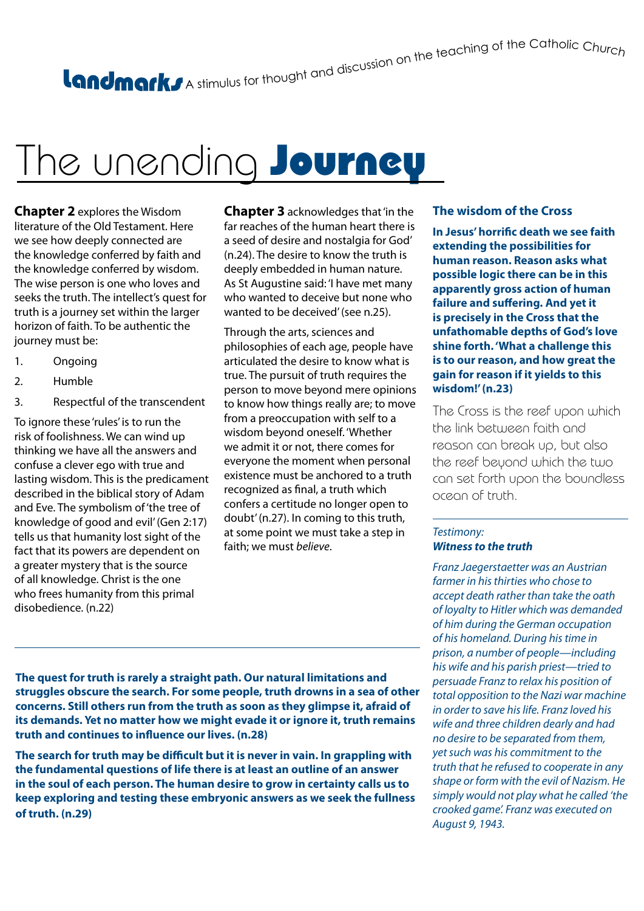# A stimulus for thought and discussion on the teaching of the Catholic Churc<sub>h</sub>

## The unending Journey

**Chapter 2** explores the Wisdom literature of the Old Testament. Here we see how deeply connected are the knowledge conferred by faith and the knowledge conferred by wisdom. The wise person is one who loves and seeks the truth. The intellect's quest for truth is a journey set within the larger horizon of faith. To be authentic the journey must be:

- 1. Ongoing
- 2. Humble
- 3. Respectful of the transcendent

To ignore these 'rules' is to run the risk of foolishness. We can wind up thinking we have all the answers and confuse a clever ego with true and lasting wisdom. This is the predicament described in the biblical story of Adam and Eve. The symbolism of 'the tree of knowledge of good and evil' (Gen 2:17) tells us that humanity lost sight of the fact that its powers are dependent on a greater mystery that is the source of all knowledge. Christ is the one who frees humanity from this primal disobedience. (n.22)

**Chapter 3** acknowledges that 'in the far reaches of the human heart there is a seed of desire and nostalgia for God' (n.24). The desire to know the truth is deeply embedded in human nature. As St Augustine said: 'I have met many who wanted to deceive but none who wanted to be deceived' (see n.25).

Through the arts, sciences and philosophies of each age, people have articulated the desire to know what is true. The pursuit of truth requires the person to move beyond mere opinions to know how things really are; to move from a preoccupation with self to a wisdom beyond oneself. 'Whether we admit it or not, there comes for everyone the moment when personal existence must be anchored to a truth recognized as final, a truth which confers a certitude no longer open to doubt' (n.27). In coming to this truth, at some point we must take a step in faith; we must *believe*.

#### **The wisdom of the Cross**

**In Jesus' horrific death we see faith extending the possibilities for human reason. Reason asks what possible logic there can be in this apparently gross action of human failure and suffering. And yet it is precisely in the Cross that the unfathomable depths of God's love shine forth. 'What a challenge this is to our reason, and how great the gain for reason if it yields to this wisdom!' (n.23)** 

The Cross is the reef upon which the link between faith and reason can break up, but also the reef beyond which the two can set forth upon the boundless ocean of truth.

#### *Testimony: Witness to the truth*

*Franz Jaegerstaetter was an Austrian farmer in his thirties who chose to accept death rather than take the oath of loyalty to Hitler which was demanded of him during the German occupation of his homeland. During his time in prison, a number of people—including his wife and his parish priest—tried to persuade Franz to relax his position of total opposition to the Nazi war machine in order to save his life. Franz loved his wife and three children dearly and had no desire to be separated from them, yet such was his commitment to the truth that he refused to cooperate in any shape or form with the evil of Nazism. He simply would not play what he called 'the crooked game'. Franz was executed on August 9, 1943.*

**The quest for truth is rarely a straight path. Our natural limitations and struggles obscure the search. For some people, truth drowns in a sea of other concerns. Still others run from the truth as soon as they glimpse it, afraid of its demands. Yet no matter how we might evade it or ignore it, truth remains truth and continues to influence our lives. (n.28)**

**The search for truth may be difficult but it is never in vain. In grappling with the fundamental questions of life there is at least an outline of an answer in the soul of each person. The human desire to grow in certainty calls us to keep exploring and testing these embryonic answers as we seek the fullness of truth. (n.29)**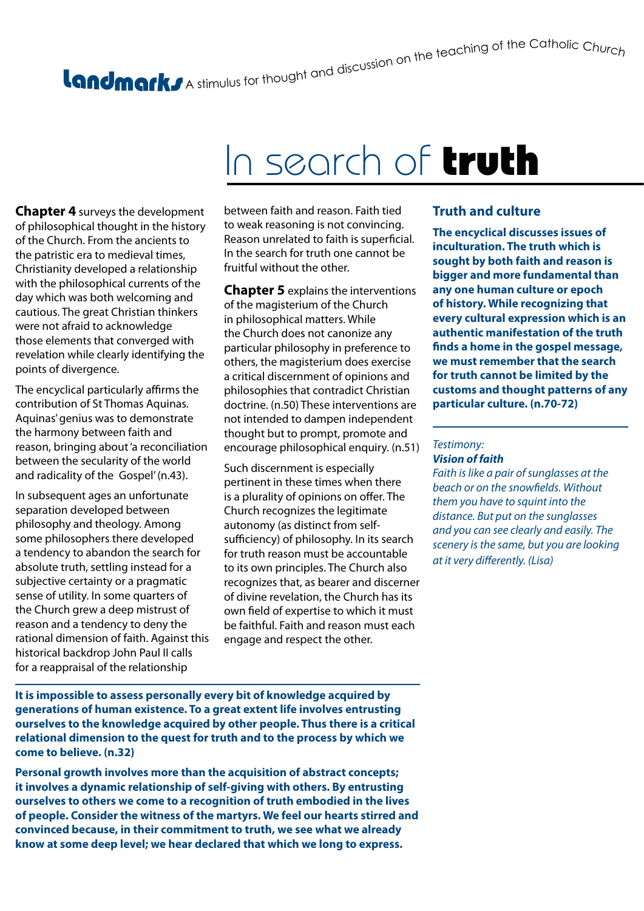# A stimulus for thought and discussion on the teaching of the Catholic Churc<sub>h</sub>

## In search of truth

**Chapter 4** surveys the development of philosophical thought in the history of the Church. From the ancients to the patristic era to medieval times, Christianity developed a relationship with the philosophical currents of the day which was both welcoming and cautious. The great Christian thinkers were not afraid to acknowledge those elements that converged with revelation while clearly identifying the points of divergence.

The encyclical particularly affirms the contribution of St Thomas Aquinas. Aquinas' genius was to demonstrate the harmony between faith and reason, bringing about 'a reconciliation between the secularity of the world and radicality of the Gospel' (n.43).

In subsequent ages an unfortunate separation developed between philosophy and theology. Among some philosophers there developed a tendency to abandon the search for absolute truth, settling instead for a subjective certainty or a pragmatic sense of utility. In some quarters of the Church grew a deep mistrust of reason and a tendency to deny the rational dimension of faith. Against this historical backdrop John Paul II calls for a reappraisal of the relationship

between faith and reason. Faith tied to weak reasoning is not convincing. Reason unrelated to faith is superficial. In the search for truth one cannot be fruitful without the other.

**Chapter 5** explains the interventions of the magisterium of the Church in philosophical matters. While the Church does not canonize any particular philosophy in preference to others, the magisterium does exercise a critical discernment of opinions and philosophies that contradict Christian doctrine. (n.50) These interventions are not intended to dampen independent thought but to prompt, promote and encourage philosophical enquiry. (n.51)

Such discernment is especially pertinent in these times when there is a plurality of opinions on offer. The Church recognizes the legitimate autonomy (as distinct from selfsufficiency) of philosophy. In its search for truth reason must be accountable to its own principles. The Church also recognizes that, as bearer and discerner of divine revelation, the Church has its own field of expertise to which it must be faithful. Faith and reason must each engage and respect the other.

### **Truth and culture**

**The encyclical discusses issues of inculturation. The truth which is sought by both faith and reason is bigger and more fundamental than any one human culture or epoch of history. While recognizing that every cultural expression which is an authentic manifestation of the truth finds a home in the gospel message, we must remember that the search for truth cannot be limited by the customs and thought patterns of any particular culture. (n.70-72)**

#### *Testimony: Vision of faith*

*Faith is like a pair of sunglasses at the beach or on the snowfields. Without them you have to squint into the distance. But put on the sunglasses and you can see clearly and easily. The scenery is the same, but you are looking at it very differently. (Lisa)*

**It is impossible to assess personally every bit of knowledge acquired by generations of human existence. To a great extent life involves entrusting ourselves to the knowledge acquired by other people. Thus there is a critical relational dimension to the quest for truth and to the process by which we come to believe. (n.32)**

**Personal growth involves more than the acquisition of abstract concepts; it involves a dynamic relationship of self-giving with others. By entrusting ourselves to others we come to a recognition of truth embodied in the lives of people. Consider the witness of the martyrs. We feel our hearts stirred and convinced because, in their commitment to truth, we see what we already know at some deep level; we hear declared that which we long to express.**